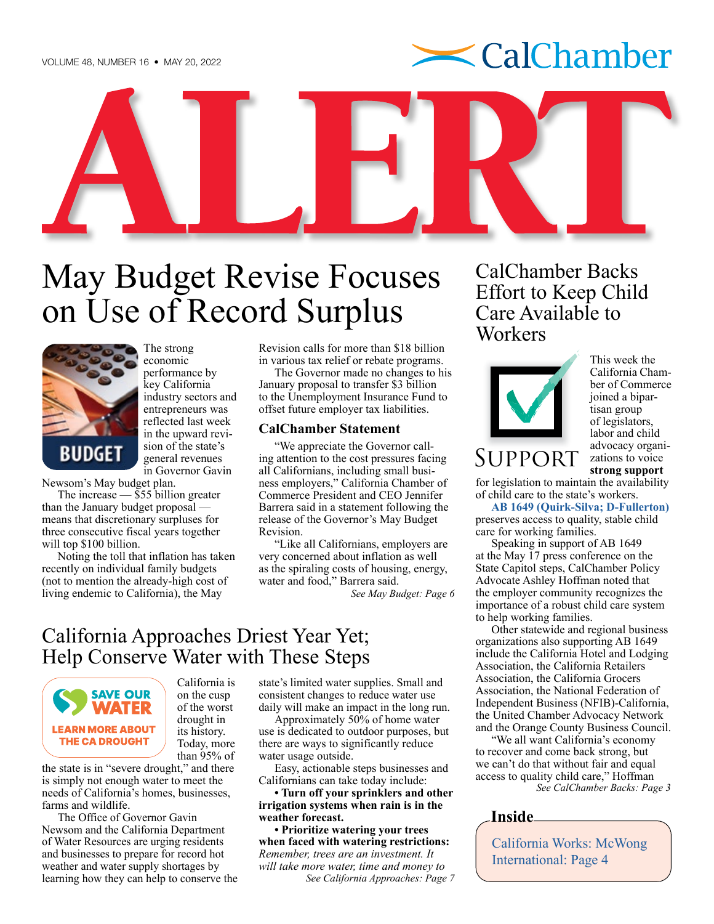

<span id="page-0-0"></span>

# on Use of Record Surplus



The strong economic performance by key California industry sectors and entrepreneurs was reflected last week in the upward revision of the state's general revenues in Governor Gavin

Newsom's May budget plan.

The increase — \$55 billion greater than the January budget proposal means that discretionary surpluses for three consecutive fiscal years together will top \$100 billion.

Noting the toll that inflation has taken recently on individual family budgets (not to mention the already-high cost of living endemic to California), the May

Revision calls for more than \$18 billion in various tax relief or rebate programs.

The Governor made no changes to his January proposal to transfer \$3 billion to the Unemployment Insurance Fund to offset future employer tax liabilities.

#### **CalChamber Statement**

"We appreciate the Governor calling attention to the cost pressures facing all Californians, including small business employers," California Chamber of Commerce President and CEO Jennifer Barrera said in a statement following the release of the Governor's May Budget Revision.

"Like all Californians, employers are very concerned about inflation as well as the spiraling costs of housing, energy, water and food," Barrera said.

*[See May Budget: Page 6](#page-5-0)*

## California Approaches Driest Year Yet; Help Conserve Water with These Steps



California is on the cusp of the worst drought in its history. Today, more than 95% of

the state is in "severe drought," and there is simply not enough water to meet the needs of California's homes, businesses, farms and wildlife.

The Office of Governor Gavin Newsom and the California Department of Water Resources are urging residents and businesses to prepare for record hot weather and water supply shortages by learning how they can help to conserve the

state's limited water supplies. Small and consistent changes to reduce water use daily will make an impact in the long run.

Approximately 50% of home water use is dedicated to outdoor purposes, but there are ways to significantly reduce water usage outside.

Easy, actionable steps businesses and Californians can take today include:

**• Turn off your sprinklers and other irrigation systems when rain is in the weather forecast.**

**• Prioritize watering your trees when faced with watering restrictions:**  *Remember, trees are an investment. It will take more water, time and money to [See California Approaches: Page 7](#page-6-0)* CalChamber Backs Effort to Keep Child Care Available to **Workers** 



This week the California Chamber of Commerce joined a bipartisan group of legislators, labor and child advocacy organizations to voice **strong support**

for legislation to maintain the availability of child care to the state's workers.

**[AB 1649 \(Quirk-Silva; D-Fullerton\)](https://ctweb.capitoltrack.com/public/search.aspx?t=bill&s=AB1649&go=Search&session=21&id=1dae9efb-651d-4a02-a05d-360ca7965b14)**  preserves access to quality, stable child care for working families.

Speaking in support of AB 1649 at the May 17 press conference on the State Capitol steps, CalChamber Policy Advocate Ashley Hoffman noted that the employer community recognizes the importance of a robust child care system to help working families.

Other statewide and regional business organizations also supporting AB 1649 include the California Hotel and Lodging Association, the California Retailers Association, the California Grocers Association, the National Federation of Independent Business (NFIB)-California, the United Chamber Advocacy Network and the Orange County Business Council.

"We all want California's economy to recover and come back strong, but we can't do that without fair and equal access to quality child care," Hoffman *[See CalChamber Backs: Page 3](#page-2-0)*

**Inside**

[California Works: McWong](#page-3-0)  [International: Page 4](#page-3-0)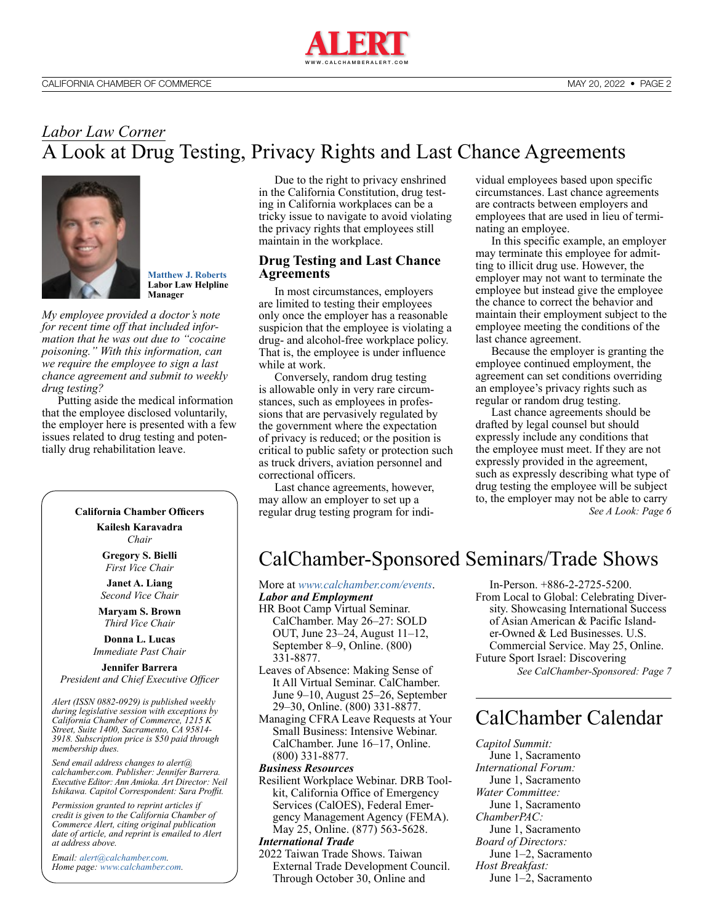

## <span id="page-1-0"></span>*Labor Law Corner* A Look at Drug Testing, Privacy Rights and Last Chance Agreements



**[Matthew J. Roberts](https://advocacy.calchamber.com/bios/matthew-roberts/) Labor Law Helpline Manager**

*My employee provided a doctor's note for recent time off that included information that he was out due to "cocaine poisoning." With this information, can we require the employee to sign a last chance agreement and submit to weekly drug testing?*

Putting aside the medical information that the employee disclosed voluntarily, the employer here is presented with a few issues related to drug testing and potentially drug rehabilitation leave.

#### **California Chamber Officers**

**Kailesh Karavadra** *Chair*

**Gregory S. Bielli** *First Vice Chair*

**Janet A. Liang** *Second Vice Chair*

**Maryam S. Brown** *Third Vice Chair*

**Donna L. Lucas** *Immediate Past Chair*

**Jennifer Barrera** *President and Chief Executive Officer*

*Alert (ISSN 0882-0929) is published weekly during legislative session with exceptions by California Chamber of Commerce, 1215 K Street, Suite 1400, Sacramento, CA 95814- 3918. Subscription price is \$50 paid through membership dues.* 

*Send email address changes to alert@ calchamber.com. Publisher: Jennifer Barrera. Executive Editor: Ann Amioka. Art Director: Neil Ishikawa. Capitol Correspondent: Sara Proffit.* 

*Permission granted to reprint articles if credit is given to the California Chamber of Commerce Alert, citing original publication date of article, and reprint is emailed to Alert at address above.* 

*Email: [alert@calchamber.com.](mailto:alert%40calchamber.com?subject=) Home page: [www.calchamber.com](http://www.calchamber.com).*

Due to the right to privacy enshrined in the California Constitution, drug testing in California workplaces can be a tricky issue to navigate to avoid violating the privacy rights that employees still maintain in the workplace.

#### **Drug Testing and Last Chance Agreements**

In most circumstances, employers are limited to testing their employees only once the employer has a reasonable suspicion that the employee is violating a drug- and alcohol-free workplace policy. That is, the employee is under influence while at work.

Conversely, random drug testing is allowable only in very rare circumstances, such as employees in professions that are pervasively regulated by the government where the expectation of privacy is reduced; or the position is critical to public safety or protection such as truck drivers, aviation personnel and correctional officers.

Last chance agreements, however, may allow an employer to set up a regular drug testing program for individual employees based upon specific circumstances. Last chance agreements are contracts between employers and employees that are used in lieu of terminating an employee.

In this specific example, an employer may terminate this employee for admitting to illicit drug use. However, the employer may not want to terminate the employee but instead give the employee the chance to correct the behavior and maintain their employment subject to the employee meeting the conditions of the last chance agreement.

Because the employer is granting the employee continued employment, the agreement can set conditions overriding an employee's privacy rights such as regular or random drug testing.

Last chance agreements should be drafted by legal counsel but should expressly include any conditions that the employee must meet. If they are not expressly provided in the agreement, such as expressly describing what type of drug testing the employee will be subject to, the employer may not be able to carry *[See A Look: Page 6](#page-5-0)*

## CalChamber-Sponsored Seminars/Trade Shows

More at *[www.calchamber.com/events](http://www.calchamber.com/events)*.

- *Labor and Employment* HR Boot Camp Virtual Seminar. CalChamber. May 26–27: SOLD OUT, June 23–24, August 11–12, September 8–9, Online. (800) 331-8877.
- Leaves of Absence: Making Sense of It All Virtual Seminar. CalChamber. June 9–10, August 25–26, September 29–30, Online. (800) 331-8877.
- Managing CFRA Leave Requests at Your Small Business: Intensive Webinar. CalChamber. June 16–17, Online. (800) 331-8877.

*Business Resources*

Resilient Workplace Webinar. DRB Toolkit, California Office of Emergency Services (CalOES), Federal Emergency Management Agency (FEMA). May 25, Online. (877) 563-5628.

#### *International Trade*

2022 Taiwan Trade Shows. Taiwan External Trade Development Council. Through October 30, Online and

In-Person. +886-2-2725-5200. From Local to Global: Celebrating Diversity. Showcasing International Success of Asian American & Pacific Islander-Owned & Led Businesses. U.S. Commercial Service. May 25, Online. Future Sport Israel: Discovering *[See CalChamber-Sponsored: Page 7](#page-6-0)*

## CalChamber Calendar

*Capitol Summit:*  June 1, Sacramento *International Forum:*  June 1, Sacramento *Water Committee:*  June 1, Sacramento *ChamberPAC:*  June 1, Sacramento *Board of Directors:* June 1–2, Sacramento *Host Breakfast:*  June 1–2, Sacramento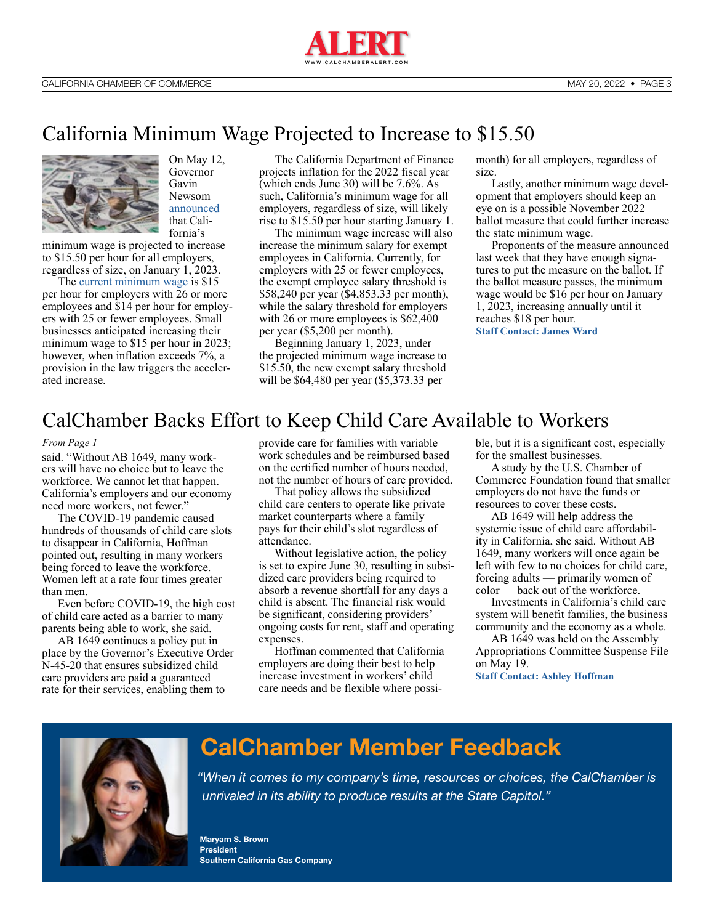

## <span id="page-2-0"></span>California Minimum Wage Projected to Increase to \$15.50



On May 12, Governor Gavin Newsom [announced](https://www.gov.ca.gov/2022/05/12/governor-newsom-proposes-18-1-billion-inflation-relief-package/) that California's

minimum wage is projected to increase to \$15.50 per hour for all employers, regardless of size, on January 1, 2023.

The [current minimum wage](https://hrwatchdog.calchamber.com/2021/12/minimum-wage-increases-coming-january-1/) is \$15 per hour for employers with 26 or more employees and \$14 per hour for employers with 25 or fewer employees. Small businesses anticipated increasing their minimum wage to \$15 per hour in 2023; however, when inflation exceeds 7%, a provision in the law triggers the accelerated increase.

The California Department of Finance projects inflation for the 2022 fiscal year (which ends June 30) will be 7.6%. As such, California's minimum wage for all employers, regardless of size, will likely rise to \$15.50 per hour starting January 1.

The minimum wage increase will also increase the minimum salary for exempt employees in California. Currently, for employers with 25 or fewer employees, the exempt employee salary threshold is \$58,240 per year (\$4,853.33 per month), while the salary threshold for employers with 26 or more employees is \$62,400 per year (\$5,200 per month).

Beginning January 1, 2023, under the projected minimum wage increase to \$15.50, the new exempt salary threshold will be \$64,480 per year (\$5,373.33 per

month) for all employers, regardless of size.

Lastly, another minimum wage development that employers should keep an eye on is a possible November 2022 ballot measure that could further increase the state minimum wage.

Proponents of the measure announced last week that they have enough signatures to put the measure on the ballot. If the ballot measure passes, the minimum wage would be \$16 per hour on January 1, 2023, increasing annually until it reaches \$18 per hour.

**[Staff Contact: James Ward](https://advocacy.calchamber.com/bios/james-w-ward/)**

## CalChamber Backs Effort to Keep Child Care Available to Workers

#### *[From Page 1](#page-0-0)*

said. "Without AB 1649, many workers will have no choice but to leave the workforce. We cannot let that happen. California's employers and our economy need more workers, not fewer."

The COVID-19 pandemic caused hundreds of thousands of child care slots to disappear in California, Hoffman pointed out, resulting in many workers being forced to leave the workforce. Women left at a rate four times greater than men.

Even before COVID-19, the high cost of child care acted as a barrier to many parents being able to work, she said.

AB 1649 continues a policy put in place by the Governor's Executive Order N-45-20 that ensures subsidized child care providers are paid a guaranteed rate for their services, enabling them to

provide care for families with variable work schedules and be reimbursed based on the certified number of hours needed, not the number of hours of care provided.

That policy allows the subsidized child care centers to operate like private market counterparts where a family pays for their child's slot regardless of attendance.

Without legislative action, the policy is set to expire June 30, resulting in subsidized care providers being required to absorb a revenue shortfall for any days a child is absent. The financial risk would be significant, considering providers' ongoing costs for rent, staff and operating expenses.

Hoffman commented that California employers are doing their best to help increase investment in workers' child care needs and be flexible where possible, but it is a significant cost, especially for the smallest businesses.

A study by the U.S. Chamber of Commerce Foundation found that smaller employers do not have the funds or resources to cover these costs.

AB 1649 will help address the systemic issue of child care affordability in California, she said. Without AB 1649, many workers will once again be left with few to no choices for child care, forcing adults — primarily women of color — back out of the workforce.

Investments in California's child care system will benefit families, the business community and the economy as a whole.

AB 1649 was held on the Assembly Appropriations Committee Suspense File on May 19.

**[Staff Contact: Ashley Hoffman](https://advocacy.calchamber.com/bios/ashley-hoffman/)**



## **CalChamber Member Feedback**

*"When it comes to my company's time, resources or choices, the CalChamber is unrivaled in its ability to produce results at the State Capitol."*

**Maryam S. Brown President Southern California Gas Company**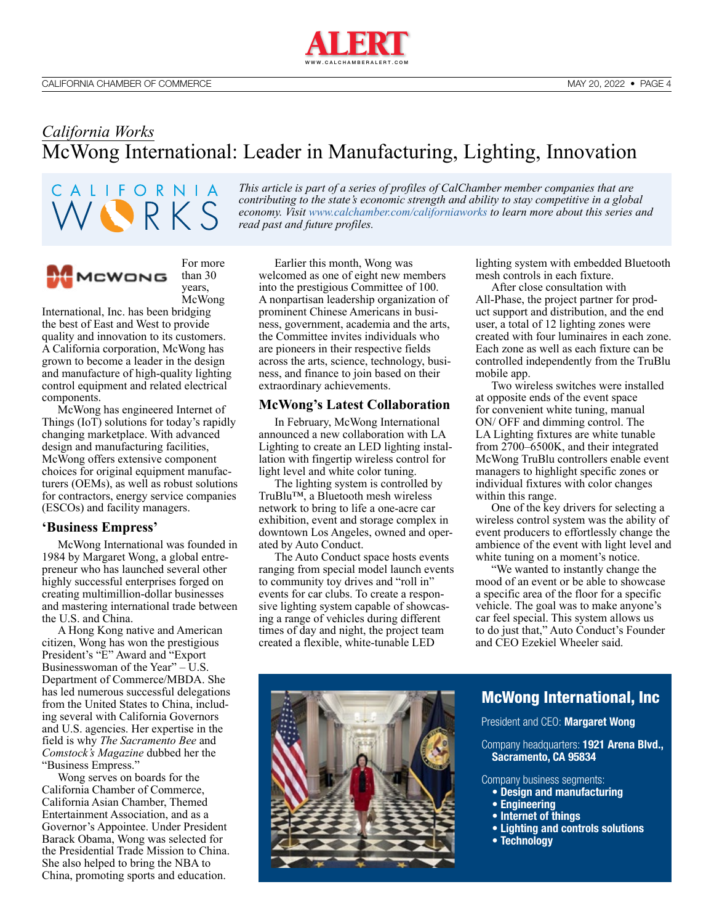

<span id="page-3-0"></span>*California Works* McWong International: Leader in Manufacturing, Lighting, Innovation

CALIFORNIA VIRKS *This article is part of a series of profiles of CalChamber member companies that are contributing to the state's economic strength and ability to stay competitive in a global economy. Visit [www.calchamber.com/californiaworks](http://www.calchamber.com/californiaworks) to learn more about this series and read past and future profiles.*



For more than 30 years, McWong

International, Inc. has been bridging the best of East and West to provide quality and innovation to its customers. A California corporation, McWong has grown to become a leader in the design and manufacture of high-quality lighting control equipment and related electrical components.

McWong has engineered Internet of Things (IoT) solutions for today's rapidly changing marketplace. With advanced design and manufacturing facilities, McWong offers extensive component choices for original equipment manufacturers (OEMs), as well as robust solutions for contractors, energy service companies (ESCOs) and facility managers.

#### **'Business Empress'**

McWong International was founded in 1984 by Margaret Wong, a global entrepreneur who has launched several other highly successful enterprises forged on creating multimillion-dollar businesses and mastering international trade between the U.S. and China.

A Hong Kong native and American citizen, Wong has won the prestigious President's "E" Award and "Export Businesswoman of the Year" – U.S. Department of Commerce/MBDA. She has led numerous successful delegations from the United States to China, including several with California Governors and U.S. agencies. Her expertise in the field is why *The Sacramento Bee* and *Comstock's Magazine* dubbed her the "Business Empress."

Wong serves on boards for the California Chamber of Commerce, California Asian Chamber, Themed Entertainment Association, and as a Governor's Appointee. Under President Barack Obama, Wong was selected for the Presidential Trade Mission to China. She also helped to bring the NBA to China, promoting sports and education.

Earlier this month, Wong was welcomed as one of eight new members into the prestigious Committee of 100. A nonpartisan leadership organization of prominent Chinese Americans in business, government, academia and the arts, the Committee invites individuals who are pioneers in their respective fields across the arts, science, technology, business, and finance to join based on their extraordinary achievements.

#### **McWong's Latest Collaboration**

In February, McWong International announced a new collaboration with LA Lighting to create an LED lighting installation with fingertip wireless control for light level and white color tuning.

The lighting system is controlled by TruBlu™, a Bluetooth mesh wireless network to bring to life a one-acre car exhibition, event and storage complex in downtown Los Angeles, owned and operated by Auto Conduct.

The Auto Conduct space hosts events ranging from special model launch events to community toy drives and "roll in" events for car clubs. To create a responsive lighting system capable of showcasing a range of vehicles during different times of day and night, the project team created a flexible, white-tunable LED

lighting system with embedded Bluetooth mesh controls in each fixture.

After close consultation with All-Phase, the project partner for product support and distribution, and the end user, a total of 12 lighting zones were created with four luminaires in each zone. Each zone as well as each fixture can be controlled independently from the TruBlu mobile app.

Two wireless switches were installed at opposite ends of the event space for convenient white tuning, manual ON/ OFF and dimming control. The LA Lighting fixtures are white tunable from 2700–6500K, and their integrated McWong TruBlu controllers enable event managers to highlight specific zones or individual fixtures with color changes within this range.

One of the key drivers for selecting a wireless control system was the ability of event producers to effortlessly change the ambience of the event with light level and white tuning on a moment's notice.

"We wanted to instantly change the mood of an event or be able to showcase a specific area of the floor for a specific vehicle. The goal was to make anyone's car feel special. This system allows us to do just that," Auto Conduct's Founder and CEO Ezekiel Wheeler said.



#### [McWong International, Inc](https://mcwonginc.info/)

President and CEO: **Margaret Wong**

Company headquarters: **1921 Arena Blvd., Sacramento, CA 95834**

Company business segments:

- **Design and manufacturing**
- **Engineering**
- **Internet of things**
- **Lighting and controls solutions**
- **Technology**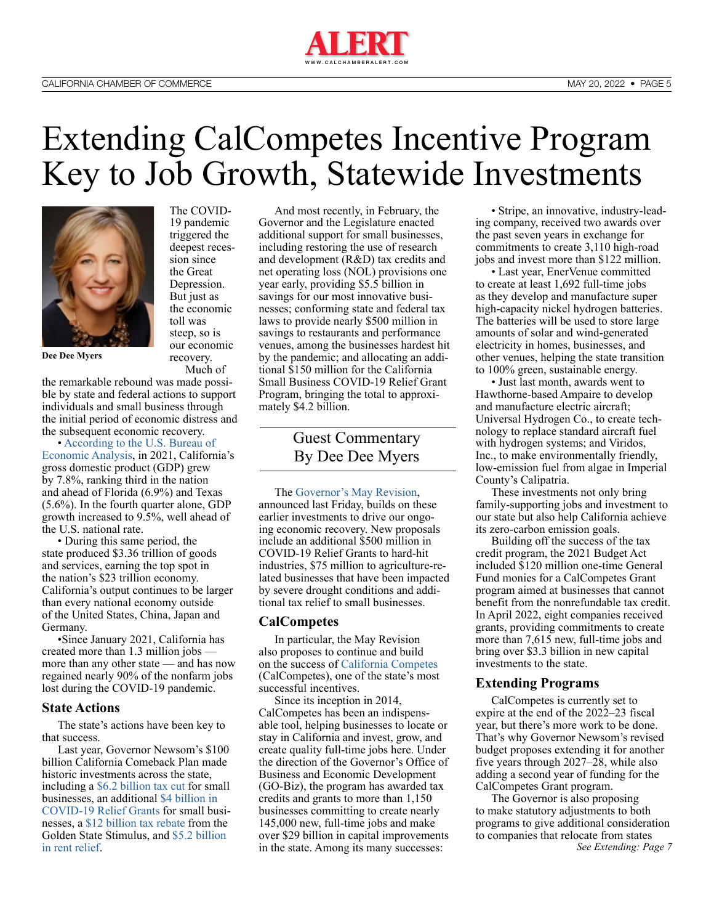

## <span id="page-4-0"></span>Extending CalCompetes Incentive Program Key to Job Growth, Statewide Investments



The COVID-19 pandemic triggered the deepest recession since the Great Depression. But just as the economic toll was steep, so is our economic recovery. Much of

**Dee Dee Myers**

the remarkable rebound was made possible by state and federal actions to support individuals and small business through the initial period of economic distress and the subsequent economic recovery.

• [According to the U.S. Bureau of](https://www.bea.gov/news/2022/gross-domestic-product-state-4th-quarter-2021-and-year-2021-preliminary)  [Economic Analysis](https://www.bea.gov/news/2022/gross-domestic-product-state-4th-quarter-2021-and-year-2021-preliminary), in 2021, California's gross domestic product (GDP) grew by 7.8%, ranking third in the nation and ahead of Florida (6.9%) and Texas (5.6%). In the fourth quarter alone, GDP growth increased to 9.5%, well ahead of the U.S. national rate.

• During this same period, the state produced \$3.36 trillion of goods and services, earning the top spot in the nation's \$23 trillion economy. California's output continues to be larger than every national economy outside of the United States, China, Japan and Germany.

•Since January 2021, California has created more than 1.3 million jobs more than any other state — and has now regained nearly 90% of the nonfarm jobs lost during the COVID-19 pandemic.

#### **State Actions**

The state's actions have been key to that success.

Last year, Governor Newsom's \$100 billion California Comeback Plan made historic investments across the state, including a [\\$6.2 billion tax cut](https://www.gov.ca.gov/2021/04/29/governor-newsom-signs-bill-giving-small-business-a-6-2-billion-tax-cut/) for small businesses, an additional [\\$4 billion in](https://www.gov.ca.gov/2021/05/13/california-roars-back-governor-newsom-announces-the-largest-small-business-relief-program-in-the-nation/)  [COVID-19 Relief Grants](https://www.gov.ca.gov/2021/05/13/california-roars-back-governor-newsom-announces-the-largest-small-business-relief-program-in-the-nation/) for small businesses, a [\\$12 billion tax rebate](https://www.gov.ca.gov/2021/08/26/expanded-golden-state-stimulus-the-largest-state-tax-rebate-in-american-history-to-start-reaching-californians-tomorrow/) from the Golden State Stimulus, and [\\$5.2 billion](https://www.gov.ca.gov/2021/08/26/expanded-golden-state-stimulus-the-largest-state-tax-rebate-in-american-history-to-start-reaching-californians-tomorrow/)  [in rent relief](https://www.gov.ca.gov/2021/08/26/expanded-golden-state-stimulus-the-largest-state-tax-rebate-in-american-history-to-start-reaching-californians-tomorrow/).

And most recently, in February, the Governor and the Legislature enacted [additional support for small businesses,](https://www.gov.ca.gov/2022/02/09/governor-newsom-signs-paid-sick-leave-extension-expanded-relief-for-small-businesses-and-historic-package-to-promote-innovation-and-entrepreneurship-in-california/) including restoring the use of research and development (R&D) tax credits and net operating loss (NOL) provisions one year early, providing \$5.5 billion in savings for our most innovative businesses; conforming state and federal tax laws to provide nearly \$500 million in savings to restaurants and performance venues, among the businesses hardest hit by the pandemic; and allocating an additional \$150 million for the California Small Business COVID-19 Relief Grant Program, bringing the total to approximately \$4.2 billion.

> Guest Commentary By Dee Dee Myers

The [Governor's May Revision,](https://www.ebudget.ca.gov/budget/2022-23MR/#/Home) announced last Friday, builds on these earlier investments to drive our ongoing economic recovery. New proposals include an additional \$500 million in COVID-19 Relief Grants to hard-hit industries, \$75 million to agriculture-related businesses that have been impacted by severe drought conditions and additional tax relief to small businesses.

#### **CalCompetes**

In particular, the May Revision also proposes to continue and build on the success of [California Competes](https://business.ca.gov/california-competes-tax-credit/) (CalCompetes), one of the state's most successful incentives.

Since its inception in 2014, CalCompetes has been an indispensable tool, helping businesses to locate or stay in California and invest, grow, and create quality full-time jobs here. Under the direction of the Governor's Office of Business and Economic Development (GO-Biz), the program has awarded tax credits and grants to more than 1,150 businesses committing to create nearly 145,000 new, full-time jobs and make over \$29 billion in capital improvements in the state. Among its many successes:

• Stripe, an innovative, industry-leading company, received two awards over the past seven years in exchange for commitments to create 3,110 high-road jobs and invest more than \$122 million.

• Last year, EnerVenue committed to create at least 1,692 full-time jobs as they develop and manufacture super high-capacity nickel hydrogen batteries. The batteries will be used to store large amounts of solar and wind-generated electricity in homes, businesses, and other venues, helping the state transition to 100% green, sustainable energy.

• Just last month, awards went to Hawthorne-based Ampaire to develop and manufacture electric aircraft; Universal Hydrogen Co., to create technology to replace standard aircraft fuel with hydrogen systems; and Viridos, Inc., to make environmentally friendly, low-emission fuel from algae in Imperial County's Calipatria.

These investments not only bring family-supporting jobs and investment to our state but also help California achieve its zero-carbon emission goals.

Building off the success of the tax credit program, the 2021 Budget Act included \$120 million one-time General Fund monies for a CalCompetes Grant program aimed at businesses that cannot benefit from the nonrefundable tax credit. In April 2022, eight companies received grants, providing commitments to create more than 7,615 new, full-time jobs and bring over \$3.3 billion in new capital investments to the state.

#### **Extending Programs**

CalCompetes is currently set to expire at the end of the 2022–23 fiscal year, but there's more work to be done. That's why Governor Newsom's revised budget proposes extending it for another five years through 2027–28, while also adding a second year of funding for the CalCompetes Grant program.

The Governor is also proposing to make statutory adjustments to both programs to give additional consideration to companies that relocate from states *[See Extending: Page 7](#page-6-0)*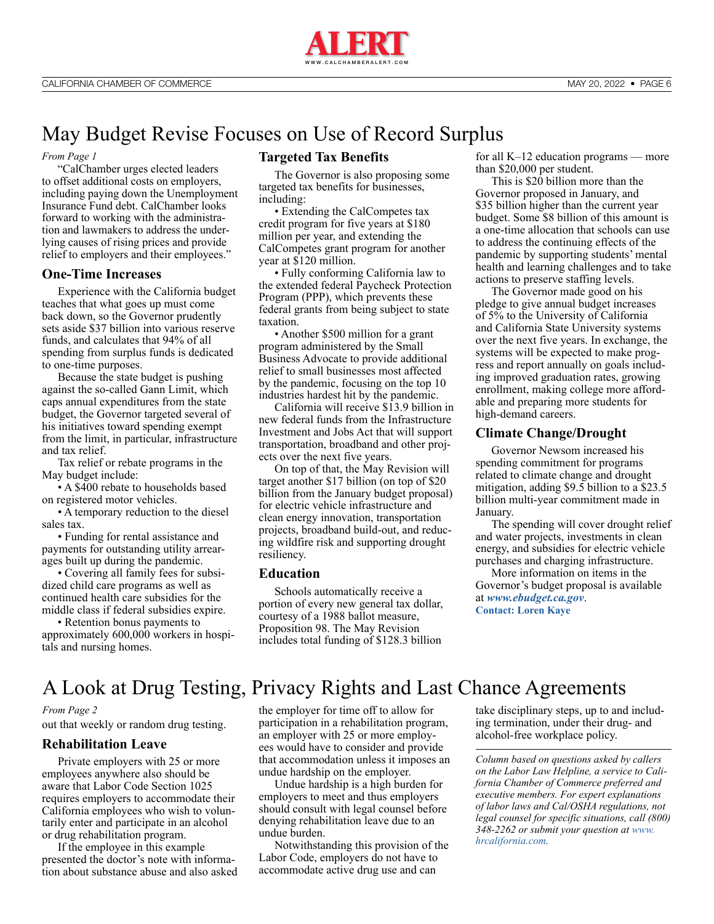

## <span id="page-5-0"></span>May Budget Revise Focuses on Use of Record Surplus

#### *[From Page 1](#page-0-0)*

"CalChamber urges elected leaders to offset additional costs on employers, including paying down the Unemployment Insurance Fund debt. CalChamber looks forward to working with the administration and lawmakers to address the underlying causes of rising prices and provide relief to employers and their employees."

#### **One-Time Increases**

Experience with the California budget teaches that what goes up must come back down, so the Governor prudently sets aside \$37 billion into various reserve funds, and calculates that 94% of all spending from surplus funds is dedicated to one-time purposes.

Because the state budget is pushing against the so-called Gann Limit, which caps annual expenditures from the state budget, the Governor targeted several of his initiatives toward spending exempt from the limit, in particular, infrastructure and tax relief.

Tax relief or rebate programs in the May budget include:

• A \$400 rebate to households based on registered motor vehicles.

• A temporary reduction to the diesel sales tax.

• Funding for rental assistance and payments for outstanding utility arrearages built up during the pandemic.

• Covering all family fees for subsidized child care programs as well as continued health care subsidies for the middle class if federal subsidies expire.

• Retention bonus payments to approximately 600,000 workers in hospitals and nursing homes.

#### **Targeted Tax Benefits**

The Governor is also proposing some targeted tax benefits for businesses, including:

• Extending the CalCompetes tax credit program for five years at \$180 million per year, and extending the CalCompetes grant program for another year at \$120 million.

• Fully conforming California law to the extended federal Paycheck Protection Program (PPP), which prevents these federal grants from being subject to state taxation.

• Another \$500 million for a grant program administered by the Small Business Advocate to provide additional relief to small businesses most affected by the pandemic, focusing on the top 10 industries hardest hit by the pandemic.

California will receive \$13.9 billion in new federal funds from the Infrastructure Investment and Jobs Act that will support transportation, broadband and other projects over the next five years.

On top of that, the May Revision will target another \$17 billion (on top of \$20 billion from the January budget proposal) for electric vehicle infrastructure and clean energy innovation, transportation projects, broadband build-out, and reducing wildfire risk and supporting drought resiliency.

#### **Education**

Schools automatically receive a portion of every new general tax dollar, courtesy of a 1988 ballot measure, Proposition 98. The May Revision includes total funding of \$128.3 billion

for all K–12 education programs — more than \$20,000 per student.

This is \$20 billion more than the Governor proposed in January, and \$35 billion higher than the current year budget. Some \$8 billion of this amount is a one-time allocation that schools can use to address the continuing effects of the pandemic by supporting students' mental health and learning challenges and to take actions to preserve staffing levels.

The Governor made good on his pledge to give annual budget increases of 5% to the University of California and California State University systems over the next five years. In exchange, the systems will be expected to make progress and report annually on goals including improved graduation rates, growing enrollment, making college more affordable and preparing more students for high-demand careers.

#### **Climate Change/Drought**

Governor Newsom increased his spending commitment for programs related to climate change and drought mitigation, adding \$9.5 billion to a \$23.5 billion multi-year commitment made in January.

The spending will cover drought relief and water projects, investments in clean energy, and subsidies for electric vehicle purchases and charging infrastructure.

More information on items in the Governor's budget proposal is available at *[www.ebudget.ca.gov](http://www.ebudget.ca.gov)*. **[Contact: Loren Kaye](https://advocacy.calchamber.com/bios/loren-kaye/)**

A Look at Drug Testing, Privacy Rights and Last Chance Agreements

#### *[From Page 2](#page-1-0)*

out that weekly or random drug testing.

#### **Rehabilitation Leave**

Private employers with 25 or more employees anywhere also should be aware that Labor Code Section 1025 requires employers to accommodate their California employees who wish to voluntarily enter and participate in an alcohol or drug rehabilitation program.

If the employee in this example presented the doctor's note with information about substance abuse and also asked the employer for time off to allow for participation in a rehabilitation program, an employer with 25 or more employees would have to consider and provide that accommodation unless it imposes an undue hardship on the employer.

Undue hardship is a high burden for employers to meet and thus employers should consult with legal counsel before denying rehabilitation leave due to an undue burden.

Notwithstanding this provision of the Labor Code, employers do not have to accommodate active drug use and can

take disciplinary steps, up to and including termination, under their drug- and alcohol-free workplace policy.

*Column based on questions asked by callers on the Labor Law Helpline, a service to California Chamber of Commerce preferred and executive members. For expert explanations of labor laws and Cal/OSHA regulations, not legal counsel for specific situations, call (800) 348-2262 or submit your question at [www.](http://www.hrcalifornia.com) [hrcalifornia.com](http://www.hrcalifornia.com).*